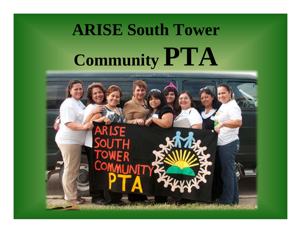# **ARISE South Tower Community PTA**

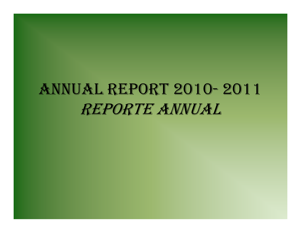# ANNUAL REPORT 2010- 2011 REPORTE ANNUAL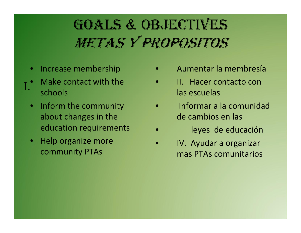# GOALS & OBJECTIVES METAS Y PROPOSITOS

- •• Increase membership
- •• Make contact with the schools I.
	- $\bullet$ • Inform the community about changes in the education requirements
	- Help organize more community PTAs
- •Aumentar la membresía
- •• II. Hacer contacto con las escuelas
- • Informar a la comunidadde cambios en las
- •leyes de educación
- • IV. Ayudar a organizar mas PTAs comunitarios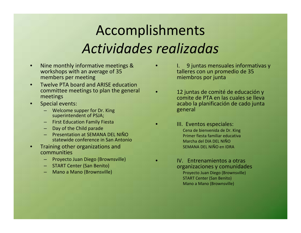#### Accomplishments *Actividades realizadas*

•

•

•

- •• Nine monthly informative meetings & workshops with an average of 35 members per meeting
- • Twelve PTA board and ARISE education committee meetings to plan the general meetings
- • Special events:
	- Welcome supper for Dr. King superintendent of PSJA;
	- First Education Family Fiesta
	- Day of the Child parade
	- Presentation at SEMANA DEL NIÑOstatewide conference in San Antonio
- • Training other organizations and communities
	- Proyecto Juan Diego (Brownsville)
	- START Center (San Benito)
	- Mano <sup>a</sup> Mano (Brownsville)

 $\bullet$  is a set  $\mathsf{I}.$ 9 juntas mensuales informativas y talleres con un promedio de 35 miembros por junta

- • 12 juntas de comité de educación y comite de PTA en las cuales se lleva acabo la planificación de cado junta general
- **III.** Eventos especiales: Cena de bienvenida de Dr. King Primer fiesta familiar educativa Marcha del DIA DEL NIÑOSEMANA DEL NIÑO en IDRA
- **IV.** Entrenamientos a otras organizaciones y comunidades Proyecto Juan Diego (Brownsville) START Center (San Benito) Mano <sup>a</sup> Mano (Brownsville)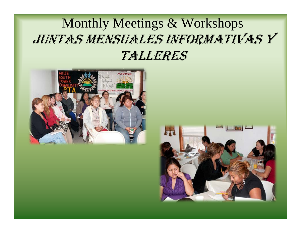#### Monthly Meetings & Workshops JUNTAS MENSUALES INFORMATIVAS Y TALLERES



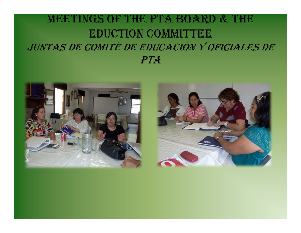#### MEETINGS OF THE PTA BOARD & THE EDUCTION COMMITTEE JUNTAS DE COMITÉ DE EDUCACIÓN Y OFICIALES DE PTA



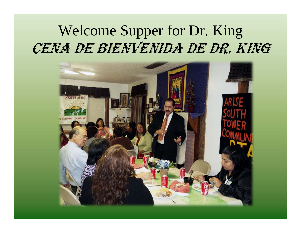#### Welcome Supper for Dr. King CENA DE BIENVENIDA DE DR. KING

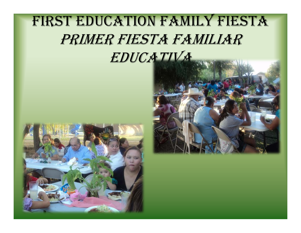#### FIRST EDUCATION FAMILY FIESTA PRIMER FIESTA FAMILIAR EDUCATIVA



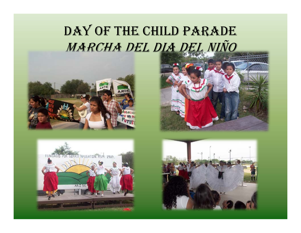#### DAY OF THE CHILD PARADE MARCHA DEL DIA DEL NIÑO







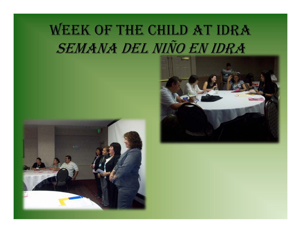# WEEK OF THE CHILD AT IDRA SEMANA DEL NIÑO EN IDRA



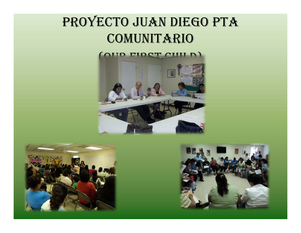#### PROYECTO JUAN DIEGO PTA **COMUNITARIO**

#### (AIID FIDOT CHILD)





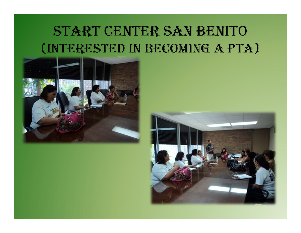#### START CENTER SAN BENITO (INTERESTED IN BECOMING A PTA)



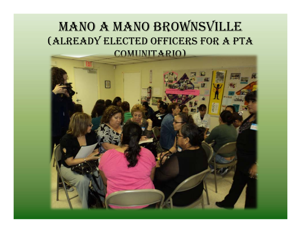#### MANO A MANO BROWNSVILLE (ALREADY ELECTED OFFICERS FOR A PTA COMUNITARIO)

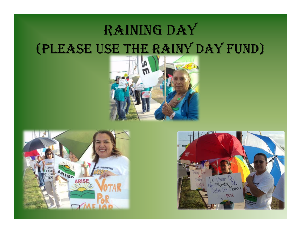#### RAINING DAY (PLEASE USE THE RAINY DAY FUND)